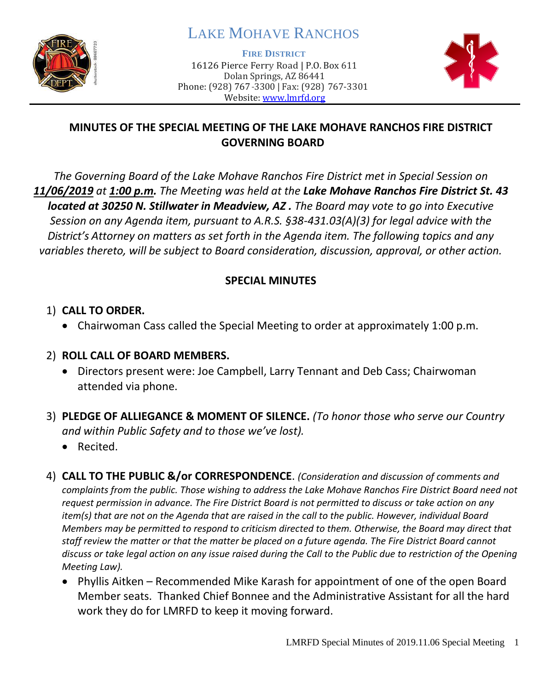

# LAKE MOHAVE RANCHOS

**FIRE DISTRICT**

16126 Pierce Ferry Road | P.O. Box 611 Dolan Springs, AZ 86441 Phone: (928) 767-3300 | Fax: (928) 767-3301 Website: [www.lmrfd.org](http://www.lmrfd.org/)



## **MINUTES OF THE SPECIAL MEETING OF THE LAKE MOHAVE RANCHOS FIRE DISTRICT GOVERNING BOARD**

*The Governing Board of the Lake Mohave Ranchos Fire District met in Special Session on 11/06/2019 at 1:00 p.m. The Meeting was held at the Lake Mohave Ranchos Fire District St. 43 located at 30250 N. Stillwater in Meadview, AZ . The Board may vote to go into Executive Session on any Agenda item, pursuant to A.R.S. §38-431.03(A)(3) for legal advice with the District's Attorney on matters as set forth in the Agenda item. The following topics and any variables thereto, will be subject to Board consideration, discussion, approval, or other action.* 

#### **SPECIAL MINUTES**

### 1) **CALL TO ORDER.**

• Chairwoman Cass called the Special Meeting to order at approximately 1:00 p.m.

## 2) **ROLL CALL OF BOARD MEMBERS.**

- Directors present were: Joe Campbell, Larry Tennant and Deb Cass; Chairwoman attended via phone.
- 3) **PLEDGE OF ALLIEGANCE & MOMENT OF SILENCE.** *(To honor those who serve our Country and within Public Safety and to those we've lost).*
	- Recited.
- 4) **CALL TO THE PUBLIC &/or CORRESPONDENCE**. *(Consideration and discussion of comments and complaints from the public. Those wishing to address the Lake Mohave Ranchos Fire District Board need not request permission in advance. The Fire District Board is not permitted to discuss or take action on any item(s) that are not on the Agenda that are raised in the call to the public. However, individual Board Members may be permitted to respond to criticism directed to them. Otherwise, the Board may direct that staff review the matter or that the matter be placed on a future agenda. The Fire District Board cannot discuss or take legal action on any issue raised during the Call to the Public due to restriction of the Opening Meeting Law).*
	- Phyllis Aitken Recommended Mike Karash for appointment of one of the open Board Member seats. Thanked Chief Bonnee and the Administrative Assistant for all the hard work they do for LMRFD to keep it moving forward.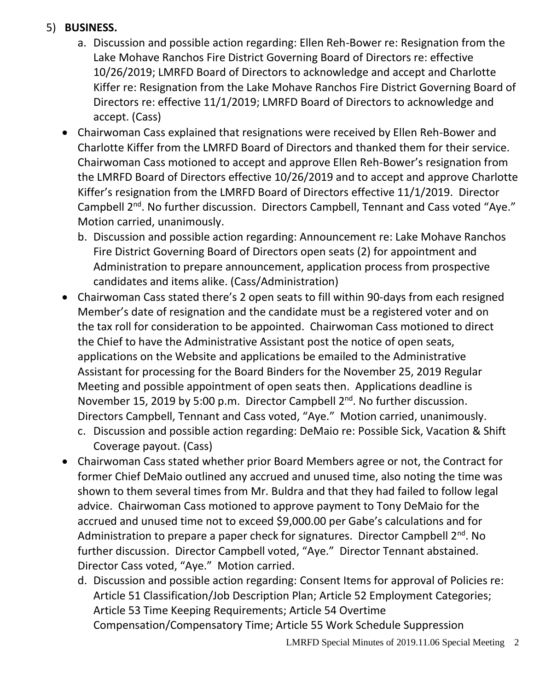#### 5) **BUSINESS.**

- a. Discussion and possible action regarding: Ellen Reh-Bower re: Resignation from the Lake Mohave Ranchos Fire District Governing Board of Directors re: effective 10/26/2019; LMRFD Board of Directors to acknowledge and accept and Charlotte Kiffer re: Resignation from the Lake Mohave Ranchos Fire District Governing Board of Directors re: effective 11/1/2019; LMRFD Board of Directors to acknowledge and accept. (Cass)
- Chairwoman Cass explained that resignations were received by Ellen Reh-Bower and Charlotte Kiffer from the LMRFD Board of Directors and thanked them for their service. Chairwoman Cass motioned to accept and approve Ellen Reh-Bower's resignation from the LMRFD Board of Directors effective 10/26/2019 and to accept and approve Charlotte Kiffer's resignation from the LMRFD Board of Directors effective 11/1/2019. Director Campbell 2<sup>nd</sup>. No further discussion. Directors Campbell, Tennant and Cass voted "Aye." Motion carried, unanimously.
	- b. Discussion and possible action regarding: Announcement re: Lake Mohave Ranchos Fire District Governing Board of Directors open seats (2) for appointment and Administration to prepare announcement, application process from prospective candidates and items alike. (Cass/Administration)
- Chairwoman Cass stated there's 2 open seats to fill within 90-days from each resigned Member's date of resignation and the candidate must be a registered voter and on the tax roll for consideration to be appointed. Chairwoman Cass motioned to direct the Chief to have the Administrative Assistant post the notice of open seats, applications on the Website and applications be emailed to the Administrative Assistant for processing for the Board Binders for the November 25, 2019 Regular Meeting and possible appointment of open seats then. Applications deadline is November 15, 2019 by 5:00 p.m. Director Campbell 2<sup>nd</sup>. No further discussion. Directors Campbell, Tennant and Cass voted, "Aye." Motion carried, unanimously.
	- c. Discussion and possible action regarding: DeMaio re: Possible Sick, Vacation & Shift Coverage payout. (Cass)
- Chairwoman Cass stated whether prior Board Members agree or not, the Contract for former Chief DeMaio outlined any accrued and unused time, also noting the time was shown to them several times from Mr. Buldra and that they had failed to follow legal advice. Chairwoman Cass motioned to approve payment to Tony DeMaio for the accrued and unused time not to exceed \$9,000.00 per Gabe's calculations and for Administration to prepare a paper check for signatures. Director Campbell 2<sup>nd</sup>. No further discussion. Director Campbell voted, "Aye." Director Tennant abstained. Director Cass voted, "Aye." Motion carried.
	- d. Discussion and possible action regarding: Consent Items for approval of Policies re: Article 51 Classification/Job Description Plan; Article 52 Employment Categories; Article 53 Time Keeping Requirements; Article 54 Overtime Compensation/Compensatory Time; Article 55 Work Schedule Suppression